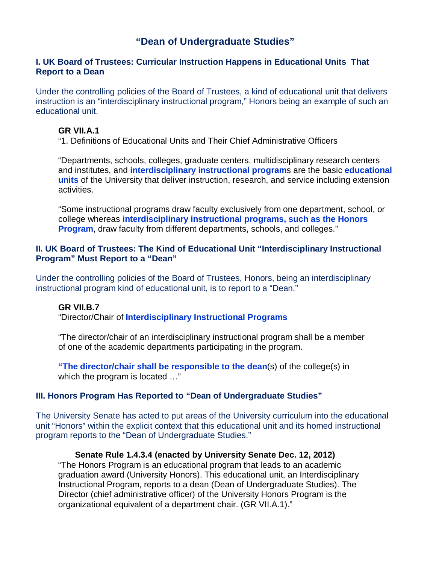# **"Dean of Undergraduate Studies"**

#### **I. UK Board of Trustees: Curricular Instruction Happens in Educational Units That Report to a Dean**

Under the controlling policies of the Board of Trustees, a kind of educational unit that delivers instruction is an "interdisciplinary instructional program," Honors being an example of such an educational unit.

#### **GR VII.A.1**

"1. Definitions of Educational Units and Their Chief Administrative Officers

"Departments, schools, colleges, graduate centers, multidisciplinary research centers and institutes, and **interdisciplinary instructional program**s are the basic **educational units** of the University that deliver instruction, research, and service including extension activities.

"Some instructional programs draw faculty exclusively from one department, school, or college whereas **interdisciplinary instructional programs, such as the Honors Program, draw faculty from different departments, schools, and colleges."** 

#### **II. UK Board of Trustees: The Kind of Educational Unit "Interdisciplinary Instructional Program" Must Report to a "Dean"**

Under the controlling policies of the Board of Trustees, Honors, being an interdisciplinary instructional program kind of educational unit, is to report to a "Dean."

#### **GR VII.B.7**

"Director/Chair of **Interdisciplinary Instructional Programs** 

"The director/chair of an interdisciplinary instructional program shall be a member of one of the academic departments participating in the program.

**"The director/chair shall be responsible to the dean**(s) of the college(s) in which the program is located ..."

# **III. Honors Program Has Reported to "Dean of Undergraduate Studies"**

The University Senate has acted to put areas of the University curriculum into the educational unit "Honors" within the explicit context that this educational unit and its homed instructional program reports to the "Dean of Undergraduate Studies."

# **Senate Rule 1.4.3.4 (enacted by University Senate Dec. 12, 2012)**

"The Honors Program is an educational program that leads to an academic graduation award (University Honors). This educational unit, an Interdisciplinary Instructional Program, reports to a dean (Dean of Undergraduate Studies). The Director (chief administrative officer) of the University Honors Program is the organizational equivalent of a department chair. (GR VII.A.1)."